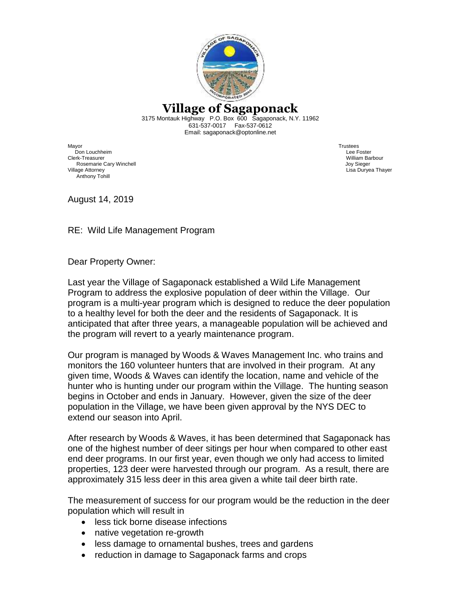

## **Village of Sagaponack**

3175 Montauk Highway P.O. Box 600 Sagaponack, N.Y. 11962 631-537-0017 Fax-537-0612 Email: sagaponack@optonline.net

Mayor Trustees Don Louchheim Lee Foster Clerk-Treasurer William Barbour Rosemarie Cary Winchell Village Attorney Lisa Duryea Thayer Anthony Tohill

August 14, 2019

RE: Wild Life Management Program

Dear Property Owner:

Last year the Village of Sagaponack established a Wild Life Management Program to address the explosive population of deer within the Village. Our program is a multi-year program which is designed to reduce the deer population to a healthy level for both the deer and the residents of Sagaponack. It is anticipated that after three years, a manageable population will be achieved and the program will revert to a yearly maintenance program.

Our program is managed by Woods & Waves Management Inc. who trains and monitors the 160 volunteer hunters that are involved in their program. At any given time, Woods & Waves can identify the location, name and vehicle of the hunter who is hunting under our program within the Village. The hunting season begins in October and ends in January. However, given the size of the deer population in the Village, we have been given approval by the NYS DEC to extend our season into April.

After research by Woods & Waves, it has been determined that Sagaponack has one of the highest number of deer sitings per hour when compared to other east end deer programs. In our first year, even though we only had access to limited properties, 123 deer were harvested through our program. As a result, there are approximately 315 less deer in this area given a white tail deer birth rate.

The measurement of success for our program would be the reduction in the deer population which will result in

- less tick borne disease infections
- native vegetation re-growth
- less damage to ornamental bushes, trees and gardens
- reduction in damage to Sagaponack farms and crops